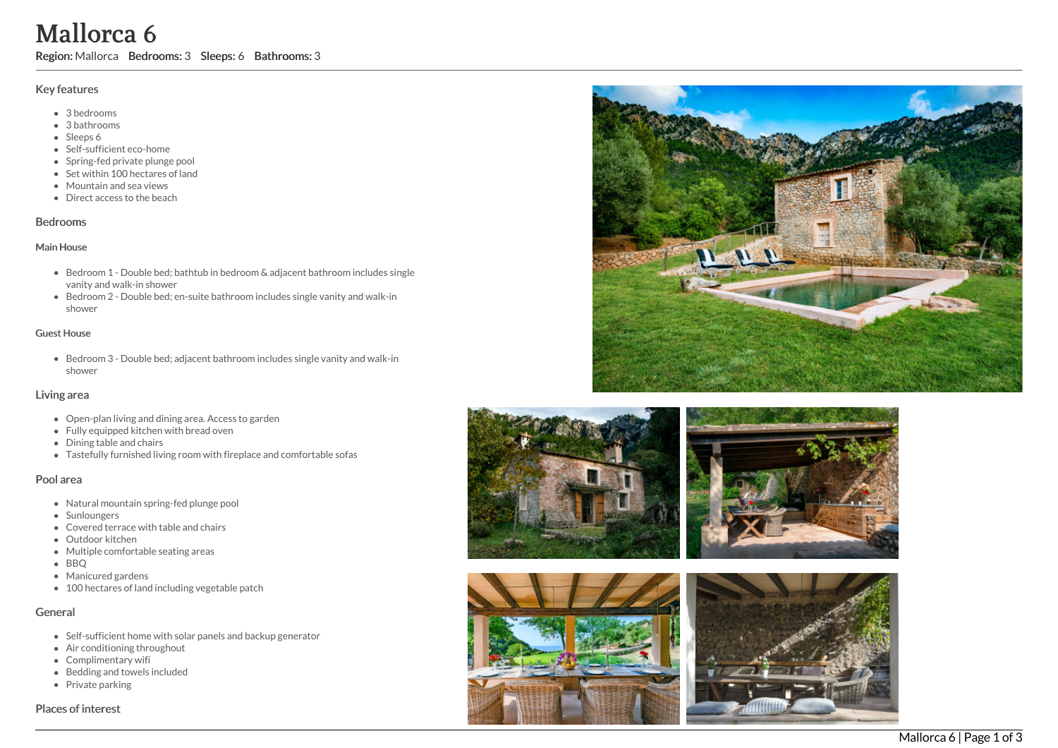# Mallorca 6

Region: Mallorca Bedrooms: 3 Sleeps: 6 Bathrooms: 3

# Key features

- 3 b e d r o o m s
- 3 b a t h r o o m s
- Sleeps 6
- Self-sufficient eco-home
- Spring-fed private plunge pool
- Set within 100 hectares of land
- Mountain and sea views
- Direct access to the beach

#### **Bedrooms**

#### Main House

- Bedroom 1 Double bed; bathtub in bedroom & adjacent bathroom includes single vanity and walk-in shower
- Bedroom 2 Double bed; en-suite bathroom includes single vanity and walk-in s h o w e r

#### Guest House

Bedroom 3 - Double bed; adjacent bathroom includes single vanity and walk-in s h o w e r

## Living area

- Open-plan living and dining area. Access to garden
- Fully equipped kitchen with bread oven
- Dining table and chairs
- Tastefully furnished living room with fireplace and comfortable sofas

# Pool area

- Natural mountain spring-fed plunge pool
- Sunloungers
- Covered terrace with table and chairs
- Outdoor kitchen
- Multiple comfortable seating areas
- BBQ
- Manicured gardens
- 100 hectares of land including vegetable patch

# General

- Self-sufficient home with solar panels and backup generator
- Air conditioning throughout
- Complimentary wifi
- Bedding and towels in clu d e d
- Private parking

## Places of interest









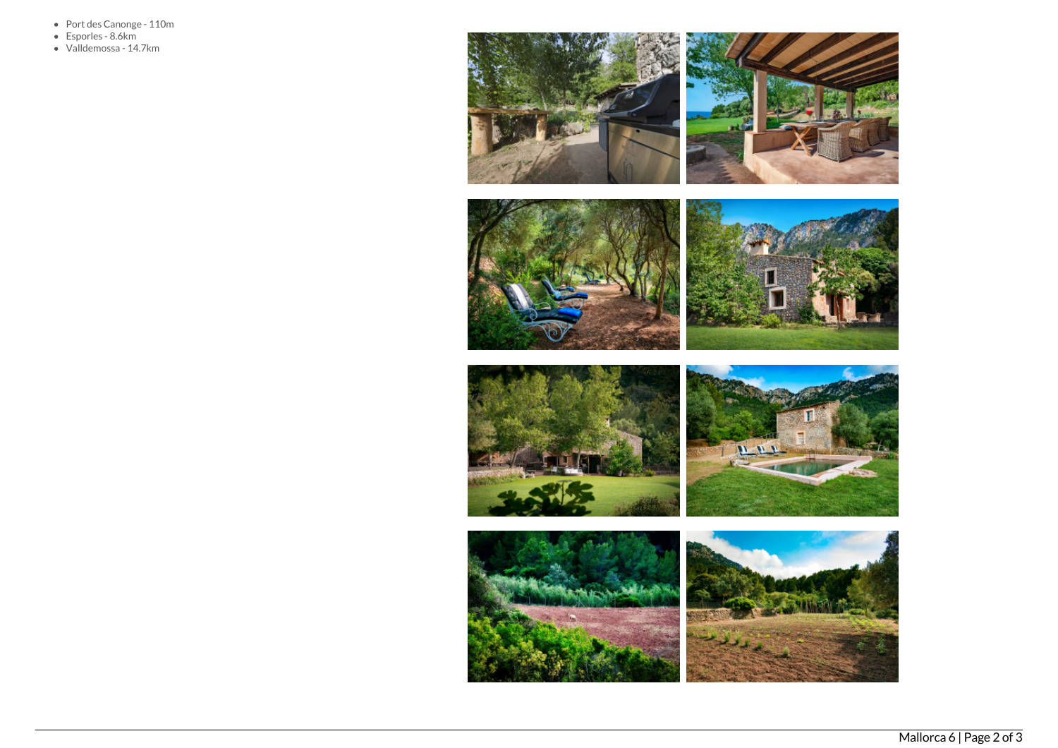- Port des Canonge 110m
- Esporles 8.6km
- Valldemossa 14.7km